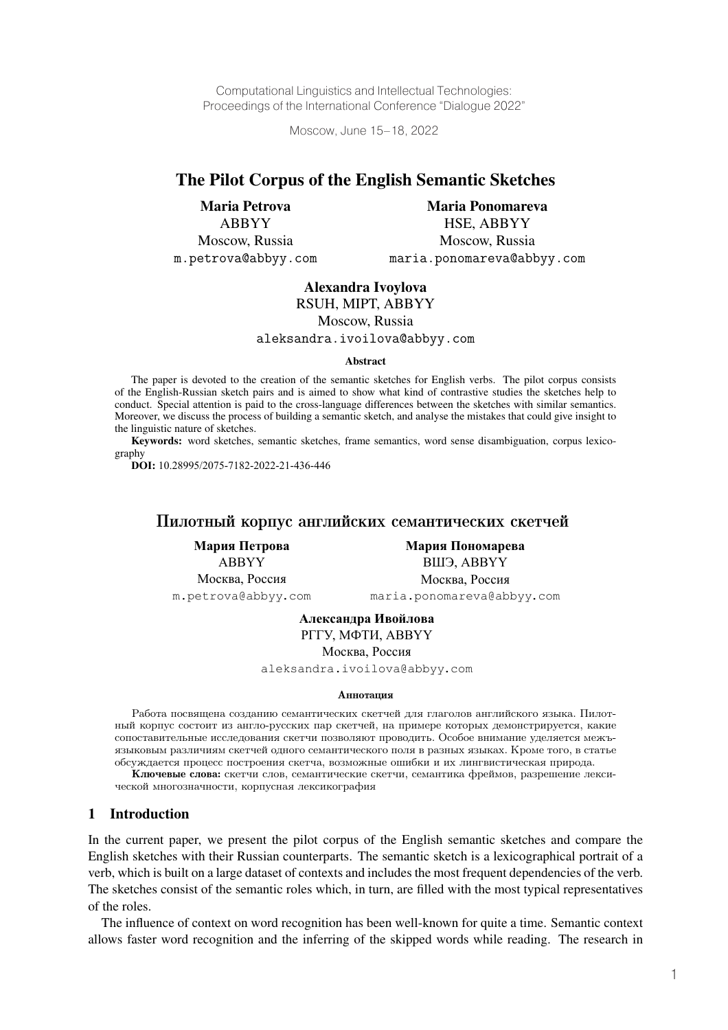Computational Linguistics and Intellectual Technologies: Proceedings of the International Conference "Dialogue 2022"

Moscow, June 15–18, 2022

# The Pilot Corpus of the English Semantic Sketches

Maria Petrova ABBYY Moscow, Russia m.petrova@abbyy.com

Maria Ponomareva HSE, ABBYY Moscow, Russia maria.ponomareva@abbyy.com

#### Alexandra Ivoylova

RSUH, MIPT, ABBYY

Moscow, Russia

aleksandra.ivoilova@abbyy.com

#### Abstract

The paper is devoted to the creation of the semantic sketches for English verbs. The pilot corpus consists of the English-Russian sketch pairs and is aimed to show what kind of contrastive studies the sketches help to conduct. Special attention is paid to the cross-language differences between the sketches with similar semantics. Moreover, we discuss the process of building a semantic sketch, and analyse the mistakes that could give insight to the linguistic nature of sketches.

Keywords: word sketches, semantic sketches, frame semantics, word sense disambiguation, corpus lexicography

**DOI:** 10.28995/2075-7182-2022-21-436-446

## Пилотный корпус английских семантических скетчей

**Мария Петрова** ABBYY Москва, Россия m.petrova@abbyy.com

**Мария Пономарева** ВШЭ, ABBYY Москва, Россия maria.ponomareva@abbyy.com

**Александра Ивойлова** РГГУ, МФТИ, ABBYY

Москва, Россия

aleksandra.ivoilova@abbyy.com

#### Аннотация

Работа посвящена созданию семантических скетчей для глаголов английского языка. Пилотный корпус состоит из англо-русских пар скетчей, на примере которых демонстрируется, какие сопоставительные исследования скетчи позволяют проводить. Особое внимание уделяется межъязыковым различиям скетчей одного семантического поля в разных языках. Кроме того, в статье обсуждается процесс построения скетча, возможные ошибки и их лингвистическая природа. Ключевые слова: скетчи слов, семантические скетчи, семантика фреймов, разрешение лекси-

ческой многозначности, корпусная лексикография

#### 1 Introduction

In the current paper, we present the pilot corpus of the English semantic sketches and compare the English sketches with their Russian counterparts. The semantic sketch is a lexicographical portrait of a verb, which is built on a large dataset of contexts and includes the most frequent dependencies of the verb. The sketches consist of the semantic roles which, in turn, are filled with the most typical representatives of the roles.

The influence of context on word recognition has been well-known for quite a time. Semantic context allows faster word recognition and the inferring of the skipped words while reading. The research in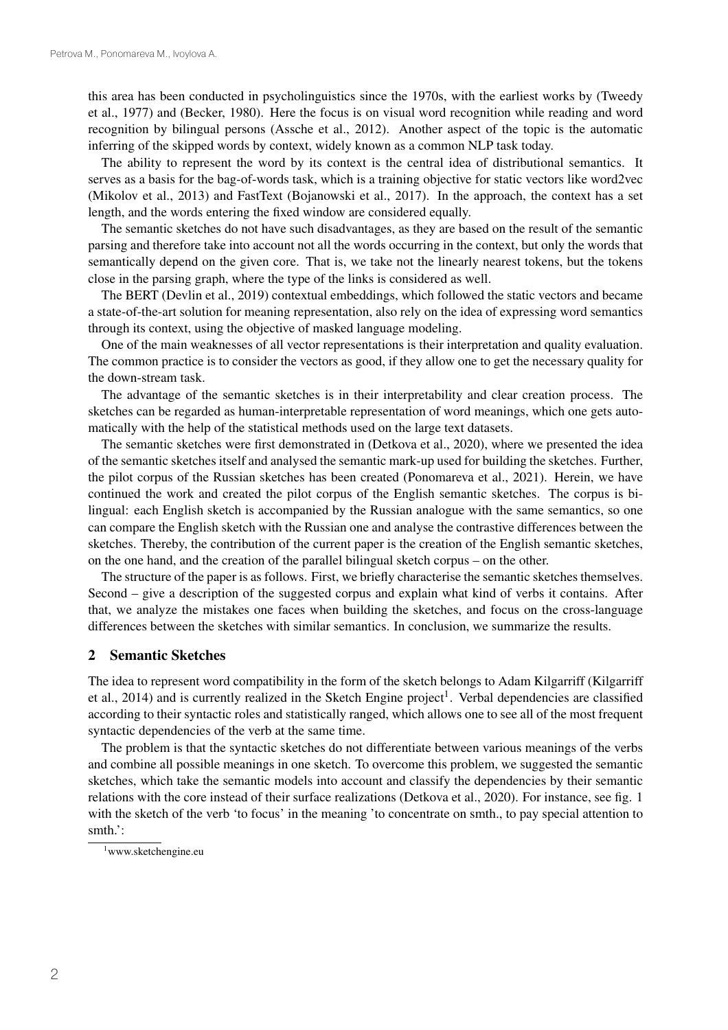this area has been conducted in psycholinguistics since the 1970s, with the earliest works by (Tweedy et al., 1977) and (Becker, 1980). Here the focus is on visual word recognition while reading and word recognition by bilingual persons (Assche et al., 2012). Another aspect of the topic is the automatic inferring of the skipped words by context, widely known as a common NLP task today.

The ability to represent the word by its context is the central idea of distributional semantics. It serves as a basis for the bag-of-words task, which is a training objective for static vectors like word2vec (Mikolov et al., 2013) and FastText (Bojanowski et al., 2017). In the approach, the context has a set length, and the words entering the fixed window are considered equally.

The semantic sketches do not have such disadvantages, as they are based on the result of the semantic parsing and therefore take into account not all the words occurring in the context, but only the words that semantically depend on the given core. That is, we take not the linearly nearest tokens, but the tokens close in the parsing graph, where the type of the links is considered as well.

The BERT (Devlin et al., 2019) contextual embeddings, which followed the static vectors and became a state-of-the-art solution for meaning representation, also rely on the idea of expressing word semantics through its context, using the objective of masked language modeling.

One of the main weaknesses of all vector representations is their interpretation and quality evaluation. The common practice is to consider the vectors as good, if they allow one to get the necessary quality for the down-stream task.

The advantage of the semantic sketches is in their interpretability and clear creation process. The sketches can be regarded as human-interpretable representation of word meanings, which one gets automatically with the help of the statistical methods used on the large text datasets.

The semantic sketches were first demonstrated in (Detkova et al., 2020), where we presented the idea of the semantic sketches itself and analysed the semantic mark-up used for building the sketches. Further, the pilot corpus of the Russian sketches has been created (Ponomareva et al., 2021). Herein, we have continued the work and created the pilot corpus of the English semantic sketches. The corpus is bilingual: each English sketch is accompanied by the Russian analogue with the same semantics, so one can compare the English sketch with the Russian one and analyse the contrastive differences between the sketches. Thereby, the contribution of the current paper is the creation of the English semantic sketches, on the one hand, and the creation of the parallel bilingual sketch corpus – on the other.

The structure of the paper is as follows. First, we briefly characterise the semantic sketches themselves. Second – give a description of the suggested corpus and explain what kind of verbs it contains. After that, we analyze the mistakes one faces when building the sketches, and focus on the cross-language differences between the sketches with similar semantics. In conclusion, we summarize the results.

#### 2 Semantic Sketches

The idea to represent word compatibility in the form of the sketch belongs to Adam Kilgarriff (Kilgarriff et al., 2014) and is currently realized in the Sketch Engine project<sup>1</sup>. Verbal dependencies are classified according to their syntactic roles and statistically ranged, which allows one to see all of the most frequent syntactic dependencies of the verb at the same time.

The problem is that the syntactic sketches do not differentiate between various meanings of the verbs and combine all possible meanings in one sketch. To overcome this problem, we suggested the semantic sketches, which take the semantic models into account and classify the dependencies by their semantic relations with the core instead of their surface realizations (Detkova et al., 2020). For instance, see fig. 1 with the sketch of the verb 'to focus' in the meaning 'to concentrate on smth., to pay special attention to smth.':

<sup>1</sup> www.sketchengine.eu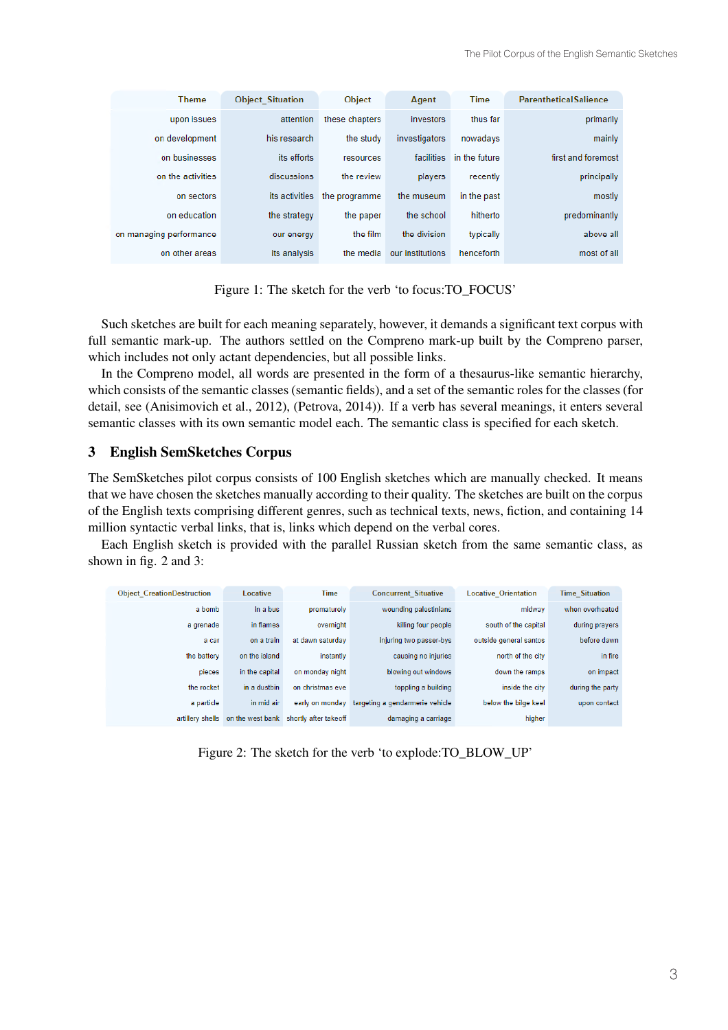| <b>Theme</b>            | <b>Object Situation</b> | Object         | Agent            | <b>Time</b>   | <b>ParentheticalSalience</b> |
|-------------------------|-------------------------|----------------|------------------|---------------|------------------------------|
| upon issues             | attention               | these chapters | investors        | thus far      | primarily                    |
| on development          | his research            | the study      | investigators    | nowadays      | mainly                       |
| on businesses           | its efforts             | resources      | facilities       | in the future | first and foremost           |
| on the activities       | discussions             | the review     | players          | recently      | principally                  |
| on sectors              | its activities          | the programme  | the museum       | in the past   | mostly                       |
| on education            | the strategy            | the paper      | the school       | hitherto      | predominantly                |
| on managing performance | our energy              | the film       | the division     | typically     | above all                    |
| on other areas          | its analysis            | the media      | our institutions | henceforth    | most of all                  |

Figure 1: The sketch for the verb 'to focus:TO\_FOCUS'

Such sketches are built for each meaning separately, however, it demands a significant text corpus with full semantic mark-up. The authors settled on the Compreno mark-up built by the Compreno parser, which includes not only actant dependencies, but all possible links.

In the Compreno model, all words are presented in the form of a thesaurus-like semantic hierarchy, which consists of the semantic classes (semantic fields), and a set of the semantic roles for the classes (for detail, see (Anisimovich et al., 2012), (Petrova, 2014)). If a verb has several meanings, it enters several semantic classes with its own semantic model each. The semantic class is specified for each sketch.

## 3 English SemSketches Corpus

The SemSketches pilot corpus consists of 100 English sketches which are manually checked. It means that we have chosen the sketches manually according to their quality. The sketches are built on the corpus of the English texts comprising different genres, such as technical texts, news, fiction, and containing 14 million syntactic verbal links, that is, links which depend on the verbal cores.

Each English sketch is provided with the parallel Russian sketch from the same semantic class, as shown in fig. 2 and 3:

| <b>Object CreationDestruction</b> | Locative       | Time                                   | <b>Concurrent Situative</b>     | <b>Locative Orientation</b> | <b>Time Situation</b> |
|-----------------------------------|----------------|----------------------------------------|---------------------------------|-----------------------------|-----------------------|
| a bomb                            | in a bus       | prematurely                            | wounding palestinians           | midway                      | when overheated       |
| a grenade                         | in flames      | overnight                              | killing four people             | south of the capital        | during prayers        |
| a car                             | on a train     | at dawn saturday                       | injuring two passer-bys         | outside general santos      | before dawn           |
| the battery                       | on the island  | instantly                              | causing no injuries             | north of the city           | in fire               |
| pieces                            | in the capital | on monday night                        | blowing out windows             | down the ramps              | on impact             |
| the rocket                        | in a dustbin   | on christmas eve                       | toppling a building             | inside the city             | during the party      |
| a particle                        | in mid air     | early on monday                        | targeting a gendarmerie vehicle | below the bilge keel        | upon contact          |
| artillery shells                  |                | on the west bank shortly after takeoff | damaging a carriage             | higher                      |                       |

Figure 2: The sketch for the verb 'to explode:TO\_BLOW\_UP'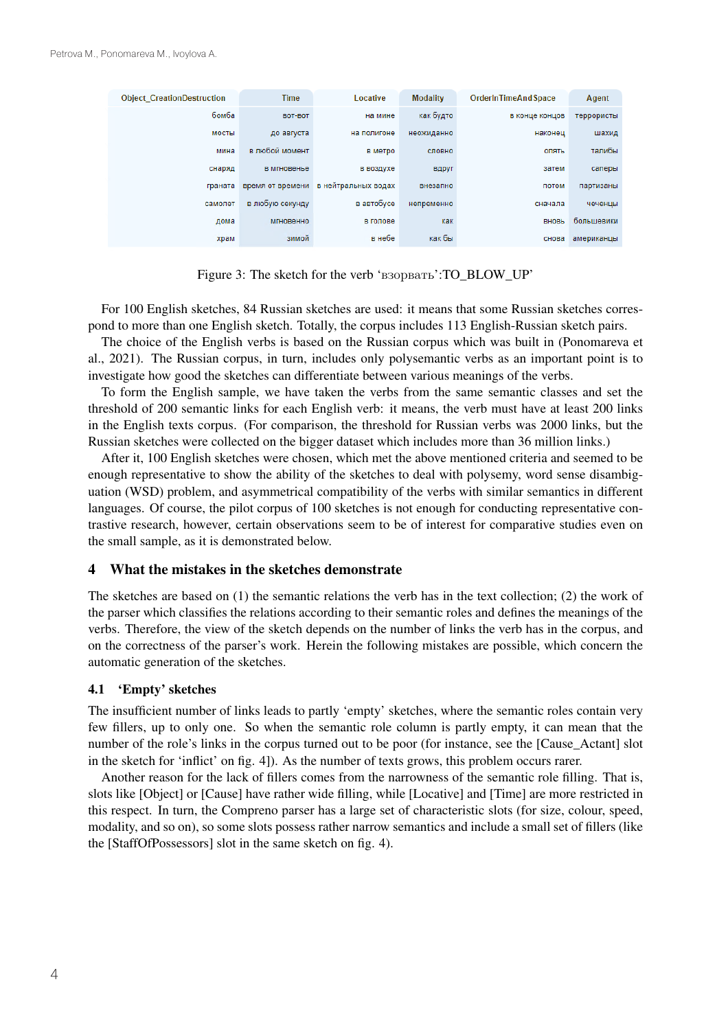| <b>Object CreationDestruction</b> | <b>Time</b>      | Locative            | <b>Modality</b> | OrderInTimeAndSpace | Agent      |
|-----------------------------------|------------------|---------------------|-----------------|---------------------|------------|
| бомба                             | BOT-BOT          | на мине             | как будто       | в конце концов      | террористы |
| мосты                             | до августа       | на полигоне         | неожиданно      | наконец             | шахид      |
| мина                              | в любой момент   | в метро             | словно          | опять               | талибы     |
| снаряд                            | в мгновенье      | в воздухе           | вдруг           | затем               | саперы     |
| граната                           | время от времени | в нейтральных водах | внезапно        | потом               | партизаны  |
| самолет                           | в любую секунду  | в автобусе          | непременно      | сначала             | чеченцы    |
| дома                              | <b>МГНОВЕННО</b> | в голове            | как             | ВНОВЬ               | большевики |
| храм                              | зимой            | в небе              | как бы          | снова               | американцы |

Figure 3: The sketch for the verb 'взорвать':TO\_BLOW\_UP'

For 100 English sketches, 84 Russian sketches are used: it means that some Russian sketches correspond to more than one English sketch. Totally, the corpus includes 113 English-Russian sketch pairs.

The choice of the English verbs is based on the Russian corpus which was built in (Ponomareva et al., 2021). The Russian corpus, in turn, includes only polysemantic verbs as an important point is to investigate how good the sketches can differentiate between various meanings of the verbs.

To form the English sample, we have taken the verbs from the same semantic classes and set the threshold of 200 semantic links for each English verb: it means, the verb must have at least 200 links in the English texts corpus. (For comparison, the threshold for Russian verbs was 2000 links, but the Russian sketches were collected on the bigger dataset which includes more than 36 million links.)

After it, 100 English sketches were chosen, which met the above mentioned criteria and seemed to be enough representative to show the ability of the sketches to deal with polysemy, word sense disambiguation (WSD) problem, and asymmetrical compatibility of the verbs with similar semantics in different languages. Of course, the pilot corpus of 100 sketches is not enough for conducting representative contrastive research, however, certain observations seem to be of interest for comparative studies even on the small sample, as it is demonstrated below.

### 4 What the mistakes in the sketches demonstrate

The sketches are based on (1) the semantic relations the verb has in the text collection; (2) the work of the parser which classifies the relations according to their semantic roles and defines the meanings of the verbs. Therefore, the view of the sketch depends on the number of links the verb has in the corpus, and on the correctness of the parser's work. Herein the following mistakes are possible, which concern the automatic generation of the sketches.

#### 4.1 'Empty' sketches

The insufficient number of links leads to partly 'empty' sketches, where the semantic roles contain very few fillers, up to only one. So when the semantic role column is partly empty, it can mean that the number of the role's links in the corpus turned out to be poor (for instance, see the [Cause Actant] slot in the sketch for 'inflict' on fig. 4]). As the number of texts grows, this problem occurs rarer.

Another reason for the lack of fillers comes from the narrowness of the semantic role filling. That is, slots like [Object] or [Cause] have rather wide filling, while [Locative] and [Time] are more restricted in this respect. In turn, the Compreno parser has a large set of characteristic slots (for size, colour, speed, modality, and so on), so some slots possess rather narrow semantics and include a small set of fillers (like the [StaffOfPossessors] slot in the same sketch on fig. 4).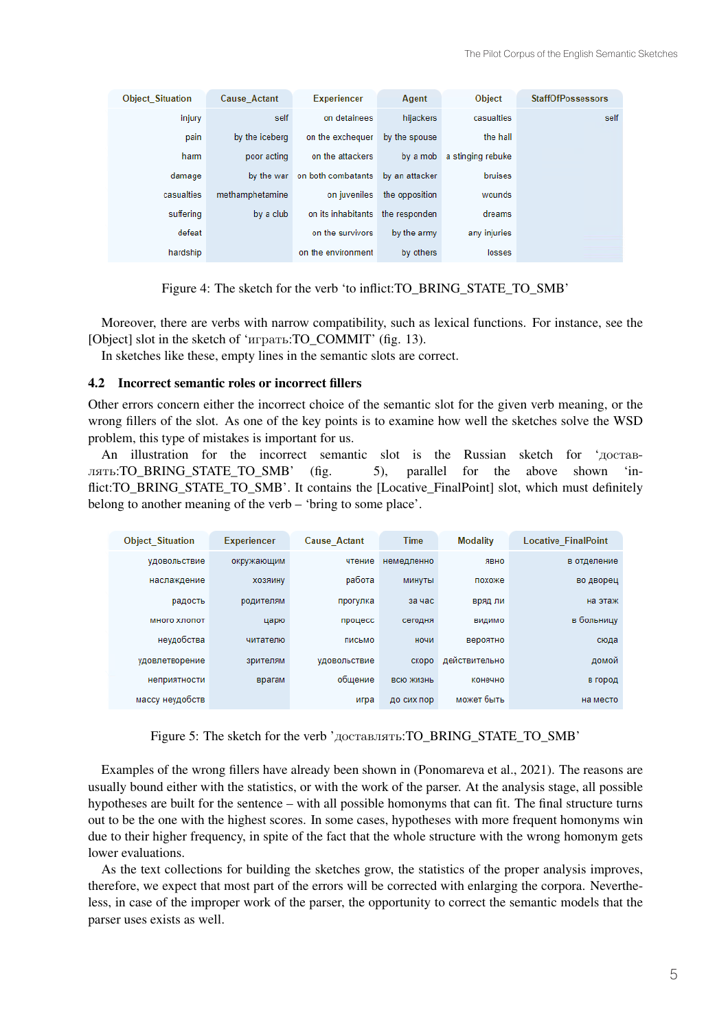| <b>Object Situation</b> | <b>Cause Actant</b> | <b>Experiencer</b>            | Agent          | Object            | <b>StaffOfPossessors</b> |
|-------------------------|---------------------|-------------------------------|----------------|-------------------|--------------------------|
| injury                  | self                | on detainees                  | hijackers      | casualties        | self                     |
| pain                    | by the iceberg      | on the exchequer              | by the spouse  | the hall          |                          |
| harm                    | poor acting         | on the attackers              | by a mob       | a stinging rebuke |                          |
| damage                  |                     | by the war on both combatants | by an attacker | bruises           |                          |
| casualties              | methamphetamine     | on iuveniles                  | the opposition | wounds            |                          |
| suffering               | by a club           | on its inhabitants            | the responden  | dreams            |                          |
| defeat                  |                     | on the survivors              | by the army    | any injuries      |                          |
| hardship                |                     | on the environment            | by others      | losses            |                          |

Figure 4: The sketch for the verb 'to inflict:TO\_BRING\_STATE\_TO\_SMB'

Moreover, there are verbs with narrow compatibility, such as lexical functions. For instance, see the [Object] slot in the sketch of 'играть:TO\_COMMIT' (fig. 13).

In sketches like these, empty lines in the semantic slots are correct.

#### 4.2 Incorrect semantic roles or incorrect fillers

Other errors concern either the incorrect choice of the semantic slot for the given verb meaning, or the wrong fillers of the slot. As one of the key points is to examine how well the sketches solve the WSD problem, this type of mistakes is important for us.

An illustration for the incorrect semantic slot is the Russian sketch for 'доставлять:TO\_BRING\_STATE\_TO\_SMB' (fig. 5), parallel for the above shown 'inflict: TO\_BRING\_STATE\_TO\_SMB'. It contains the [Locative\_FinalPoint] slot, which must definitely belong to another meaning of the verb – 'bring to some place'.

| <b>Object Situation</b> | <b>Experiencer</b> | <b>Cause Actant</b> | <b>Time</b> | <b>Modality</b> | <b>Locative FinalPoint</b> |
|-------------------------|--------------------|---------------------|-------------|-----------------|----------------------------|
| удовольствие            | окружающим         | чтение              | немедленно  | ЯВНО            | в отделение                |
| наслаждение             | ХОЗЯИНУ            | работа              | минуты      | похоже          | во дворец                  |
| радость                 | родителям          | прогулка            | за час      | вряд ли         | на этаж                    |
| много хлопот            | царю               | процесс             | сегодня     | ВИДИМО          | в больницу                 |
| неудобства              | читателю           | письмо              | ночи        | вероятно        | сюда                       |
| удовлетворение          | зрителям           | удовольствие        | скоро       | действительно   | домой                      |
| неприятности            | врагам             | общение             | ВСЮ ЖИЗНЬ   | конечно         | в город                    |
| массу неудобств         |                    | игра                | до сих пор  | может быть      | на место                   |

Figure 5: The sketch for the verb 'доставлять:TO\_BRING\_STATE\_TO\_SMB'

Examples of the wrong fillers have already been shown in (Ponomareva et al., 2021). The reasons are usually bound either with the statistics, or with the work of the parser. At the analysis stage, all possible hypotheses are built for the sentence – with all possible homonyms that can fit. The final structure turns out to be the one with the highest scores. In some cases, hypotheses with more frequent homonyms win due to their higher frequency, in spite of the fact that the whole structure with the wrong homonym gets lower evaluations.

As the text collections for building the sketches grow, the statistics of the proper analysis improves, therefore, we expect that most part of the errors will be corrected with enlarging the corpora. Nevertheless, in case of the improper work of the parser, the opportunity to correct the semantic models that the parser uses exists as well.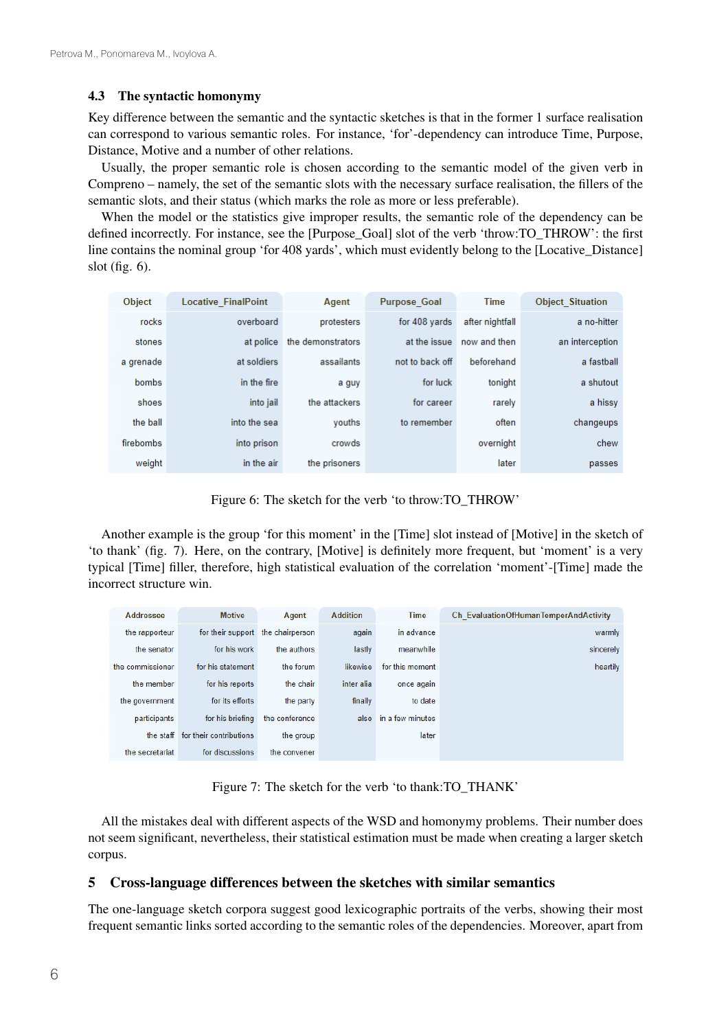#### 4.3 The syntactic homonymy

Key difference between the semantic and the syntactic sketches is that in the former 1 surface realisation can correspond to various semantic roles. For instance, 'for'-dependency can introduce Time, Purpose, Distance, Motive and a number of other relations.

Usually, the proper semantic role is chosen according to the semantic model of the given verb in Compreno – namely, the set of the semantic slots with the necessary surface realisation, the fillers of the semantic slots, and their status (which marks the role as more or less preferable).

When the model or the statistics give improper results, the semantic role of the dependency can be defined incorrectly. For instance, see the [Purpose\_Goal] slot of the verb 'throw:TO\_THROW': the first line contains the nominal group 'for 408 yards', which must evidently belong to the [Locative Distance] slot (fig. 6).

| Object       | <b>Locative FinalPoint</b> | Agent             | <b>Purpose Goal</b> | <b>Time</b>     | <b>Object Situation</b> |
|--------------|----------------------------|-------------------|---------------------|-----------------|-------------------------|
| rocks        | overboard                  | protesters        | for 408 vards       | after nightfall | a no-hitter             |
| stones       | at police                  | the demonstrators | at the issue        | now and then    | an interception         |
| a grenade    | at soldiers                | assailants        | not to back off     | beforehand      | a fastball              |
| <b>bombs</b> | in the fire                | a guy             | for luck            | tonight         | a shutout               |
| shoes        | into jail                  | the attackers     | for career          | rarely          | a hissy                 |
| the ball     | into the sea               | vouths            | to remember         | often           | changeups               |
| firebombs    | into prison                | crowds            |                     | overnight       | chew                    |
| weight       | in the air                 | the prisoners     |                     | later           | passes                  |

Figure 6: The sketch for the verb 'to throw:TO\_THROW'

Another example is the group 'for this moment' in the [Time] slot instead of [Motive] in the sketch of 'to thank' (fig. 7). Here, on the contrary, [Motive] is definitely more frequent, but 'moment' is a very typical [Time] filler, therefore, high statistical evaluation of the correlation 'moment'-[Time] made the incorrect structure win.

| Addressee        | <b>Motive</b>           | Agent           | <b>Addition</b> | <b>Time</b>      | Ch EvaluationOfHumanTemperAndActivity |
|------------------|-------------------------|-----------------|-----------------|------------------|---------------------------------------|
| the rapporteur   | for their support       | the chairperson | again           | in advance       | warmly                                |
| the senator      | for his work            | the authors     | lastly          | meanwhile        | sincerely                             |
| the commissioner | for his statement       | the forum       | likewise        | for this moment  | heartily                              |
| the member       | for his reports         | the chair       | inter alia      | once again       |                                       |
| the government   | for its efforts         | the party       | finally         | to date          |                                       |
| participants     | for his briefing        | the conference  | also            | in a few minutes |                                       |
| the staff        | for their contributions | the group       |                 | later            |                                       |
| the secretariat  | for discussions         | the convener    |                 |                  |                                       |

Figure 7: The sketch for the verb 'to thank:TO\_THANK'

All the mistakes deal with different aspects of the WSD and homonymy problems. Their number does not seem significant, nevertheless, their statistical estimation must be made when creating a larger sketch corpus.

### 5 Cross-language differences between the sketches with similar semantics

The one-language sketch corpora suggest good lexicographic portraits of the verbs, showing their most frequent semantic links sorted according to the semantic roles of the dependencies. Moreover, apart from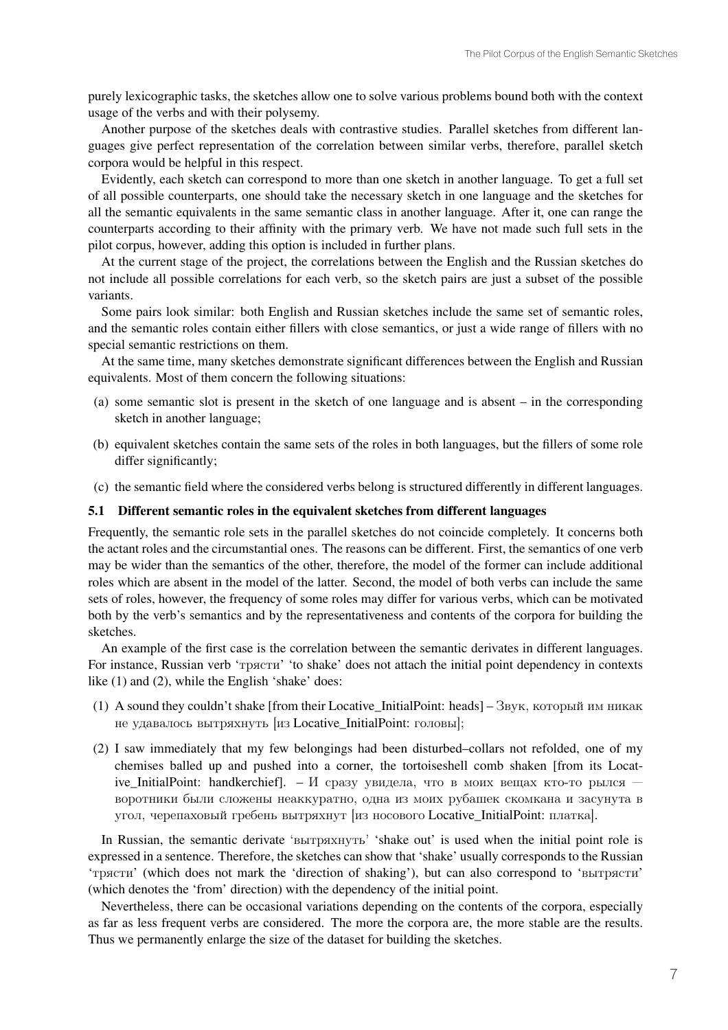purely lexicographic tasks, the sketches allow one to solve various problems bound both with the context usage of the verbs and with their polysemy.

Another purpose of the sketches deals with contrastive studies. Parallel sketches from different languages give perfect representation of the correlation between similar verbs, therefore, parallel sketch corpora would be helpful in this respect.

Evidently, each sketch can correspond to more than one sketch in another language. To get a full set of all possible counterparts, one should take the necessary sketch in one language and the sketches for all the semantic equivalents in the same semantic class in another language. After it, one can range the counterparts according to their affinity with the primary verb. We have not made such full sets in the pilot corpus, however, adding this option is included in further plans.

At the current stage of the project, the correlations between the English and the Russian sketches do not include all possible correlations for each verb, so the sketch pairs are just a subset of the possible variants.

Some pairs look similar: both English and Russian sketches include the same set of semantic roles, and the semantic roles contain either fillers with close semantics, or just a wide range of fillers with no special semantic restrictions on them.

At the same time, many sketches demonstrate significant differences between the English and Russian equivalents. Most of them concern the following situations:

- (a) some semantic slot is present in the sketch of one language and is absent in the corresponding sketch in another language;
- (b) equivalent sketches contain the same sets of the roles in both languages, but the fillers of some role differ significantly;
- (c) the semantic field where the considered verbs belong is structured differently in different languages.

#### 5.1 Different semantic roles in the equivalent sketches from different languages

Frequently, the semantic role sets in the parallel sketches do not coincide completely. It concerns both the actant roles and the circumstantial ones. The reasons can be different. First, the semantics of one verb may be wider than the semantics of the other, therefore, the model of the former can include additional roles which are absent in the model of the latter. Second, the model of both verbs can include the same sets of roles, however, the frequency of some roles may differ for various verbs, which can be motivated both by the verb's semantics and by the representativeness and contents of the corpora for building the sketches.

An example of the first case is the correlation between the semantic derivates in different languages. For instance, Russian verb 'трясти' 'to shake' does not attach the initial point dependency in contexts like (1) and (2), while the English 'shake' does:

- (1) A sound they couldn't shake [from their Locative\_InitialPoint: heads] Звук, который им никак не удавалось вытряхнуть [из Locative\_InitialPoint: головы];
- (2) I saw immediately that my few belongings had been disturbed–collars not refolded, one of my chemises balled up and pushed into a corner, the tortoiseshell comb shaken [from its Locative\_InitialPoint: handkerchief]. –  $M$  сразу увидела, что в моих вещах кто-то рылся – воротники были сложены неаккуратно, одна из моих рубашек скомкана и засунута в угол, черепаховый гребень вытряхнут [из носового Locative\_InitialPoint: платка].

In Russian, the semantic derivate 'вытряхнуть' 'shake out' is used when the initial point role is expressed in a sentence. Therefore, the sketches can show that 'shake' usually corresponds to the Russian 'трясти' (which does not mark the 'direction of shaking'), but can also correspond to 'вытрясти' (which denotes the 'from' direction) with the dependency of the initial point.

Nevertheless, there can be occasional variations depending on the contents of the corpora, especially as far as less frequent verbs are considered. The more the corpora are, the more stable are the results. Thus we permanently enlarge the size of the dataset for building the sketches.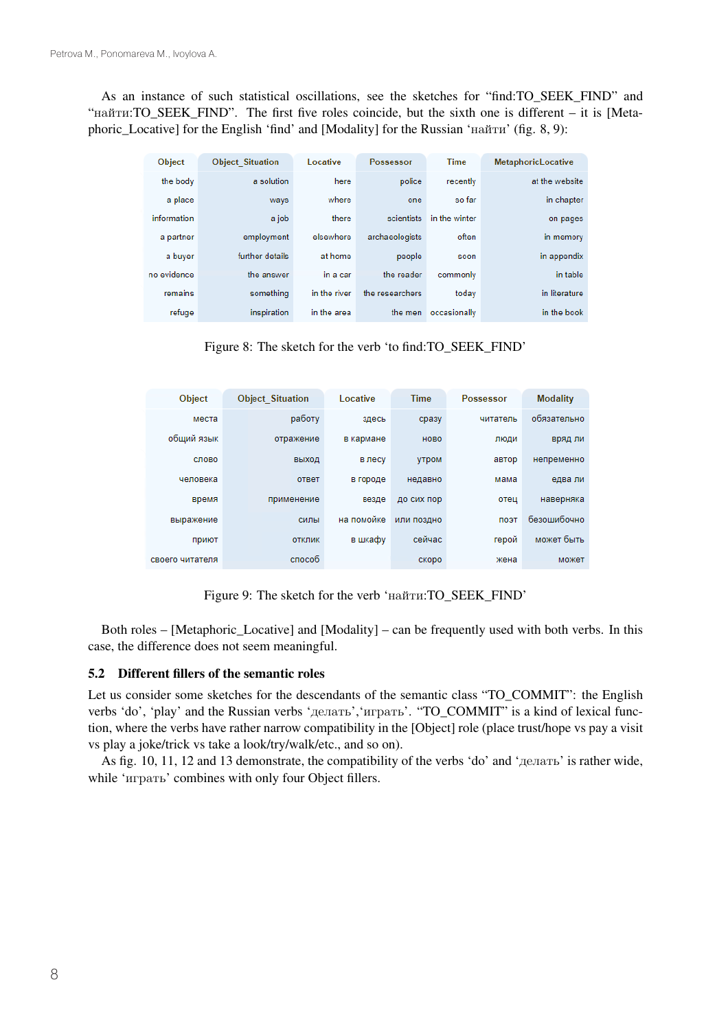As an instance of such statistical oscillations, see the sketches for "find:TO\_SEEK\_FIND" and "найти:TO\_SEEK\_FIND". The first five roles coincide, but the sixth one is different – it is [Metaphoric\_Locative] for the English 'find' and [Modality] for the Russian 'найти' (fig. 8, 9):

| <b>Object</b> | <b>Object Situation</b> | Locative     | Possessor       | <b>Time</b>   | <b>MetaphoricLocative</b> |
|---------------|-------------------------|--------------|-----------------|---------------|---------------------------|
| the body      | a solution              | here         | police          | recently      | at the website            |
| a place       | ways                    | where        | one             | so far        | in chapter                |
| information   | a job                   | there        | scientists      | in the winter | on pages                  |
| a partner     | employment              | elsewhere    | archaeologists  | often         | in memory                 |
| a buyer       | further details         | at home      | people          | soon          | in appendix               |
| no evidence   | the answer              | in a car     | the reader      | commonly      | in table                  |
| remains       | something               | in the river | the researchers | today         | in literature             |
| refuge        | inspiration             | in the area  | the men         | occasionally  | in the book               |

Figure 8: The sketch for the verb 'to find:TO\_SEEK\_FIND'

| <b>Object</b>   | <b>Object Situation</b> | Locative   | <b>Time</b>  | <b>Possessor</b> | <b>Modality</b> |
|-----------------|-------------------------|------------|--------------|------------------|-----------------|
| места           | работу                  | здесь      | сразу        | читатель         | обязательно     |
| общий язык      | отражение               | в кармане  | <b>HOBO</b>  | люди             | вряд ли         |
| слово           | выход                   | в лесу     | <b>VTDOM</b> | автор            | непременно      |
| человека        | <b>OTBeT</b>            | в городе   | недавно      | мама             | едва ли         |
| время           | применение              | везде      | до сих пор   | отец             | наверняка       |
| выражение       | силы                    | на помойке | или поздно   | поэт             | безошибочно     |
| приют           | <b>ОТКЛИК</b>           | в шкафу    | сейчас       | герой            | может быть      |
| своего читателя | способ                  |            | скоро        | жена             | может           |

Figure 9: The sketch for the verb 'найти:TO\_SEEK\_FIND'

Both roles – [Metaphoric\_Locative] and [Modality] – can be frequently used with both verbs. In this case, the difference does not seem meaningful.

### 5.2 Different fillers of the semantic roles

Let us consider some sketches for the descendants of the semantic class "TO\_COMMIT": the English verbs 'do', 'play' and the Russian verbs 'делать','играть'. "TO\_COMMIT" is a kind of lexical function, where the verbs have rather narrow compatibility in the [Object] role (place trust/hope vs pay a visit vs play a joke/trick vs take a look/try/walk/etc., and so on).

As fig. 10, 11, 12 and 13 demonstrate, the compatibility of the verbs 'do' and 'делать' is rather wide, while 'играть' combines with only four Object fillers.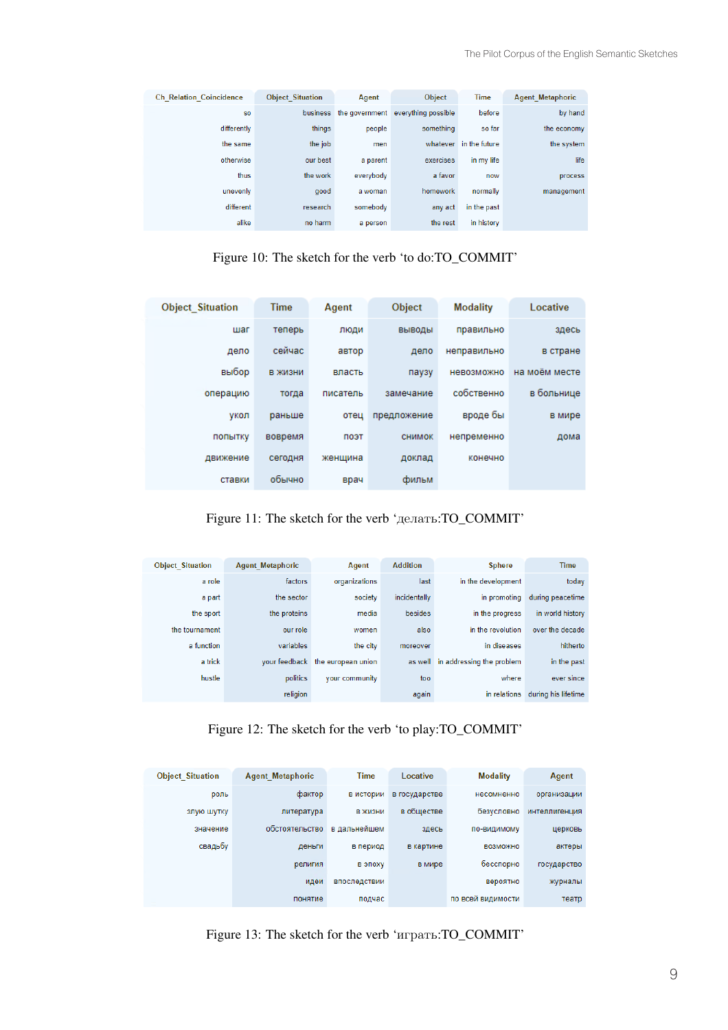| <b>Ch Relation Coincidence</b> | <b>Object Situation</b> | Agent          | Object              | <b>Time</b>   | <b>Agent Metaphoric</b> |
|--------------------------------|-------------------------|----------------|---------------------|---------------|-------------------------|
| <b>SO</b>                      | business                | the government | everything possible | before        | by hand                 |
| differently                    | things                  | people         | something           | so far        | the economy             |
| the same                       | the job                 | men            | whatever            | in the future | the system              |
| otherwise                      | our best                | a parent       | exercises           | in my life    | life                    |
| thus                           | the work                | everybody      | a favor             | now           | process                 |
| unevenly                       | good                    | a woman        | homework            | normally      | management              |
| different                      | research                | somebody       | any act             | in the past   |                         |
| alike                          | no harm                 | a person       | the rest            | in history    |                         |

Figure 10: The sketch for the verb 'to do:TO\_COMMIT'

| <b>Object Situation</b> | <b>Time</b> | Agent    | Object      | <b>Modality</b> | Locative      |
|-------------------------|-------------|----------|-------------|-----------------|---------------|
| шаг                     | теперь      | люди     | ВЫВОДЫ      | правильно       | здесь         |
| дело                    | сейчас      | автор    | дело        | неправильно     | в стране      |
| выбор                   | в жизни     | власть   | паузу       | невозможно      | на моём месте |
| операцию                | тогда       | писатель | замечание   | собственно      | в больнице    |
| укол                    | раньше      | отец     | предложение | вроде бы        | в мире        |
| попытку                 | вовремя     | поэт     | снимок      | непременно      | дома          |
| движение                | сегодня     | женщина  | доклад      | конечно         |               |
| ставки                  | обычно      | врач     | фильм       |                 |               |

Figure 11: The sketch for the verb 'делать:TO\_COMMIT'

| <b>Object Situation</b> | <b>Agent Metaphoric</b> | Agent              | <b>Addition</b> | <b>Sphere</b>             | <b>Time</b>         |
|-------------------------|-------------------------|--------------------|-----------------|---------------------------|---------------------|
| a role                  | factors                 | organizations      | last            | in the development        | today               |
| a part                  | the sector              | society            | incidentally    | in promoting              | during peacetime    |
| the sport               | the proteins            | media              | besides         | in the progress           | in world history    |
| the tournament          | our role                | women              | also            | in the revolution         | over the decade     |
| a function              | variables               | the city           | moreover        | in diseases               | hitherto            |
| a trick                 | vour feedback           | the european union | as well         | in addressing the problem | in the past         |
| hustle                  | politics                | your community     | too             | where                     | ever since          |
|                         | religion                |                    | again           | in relations              | during his lifetime |

Figure 12: The sketch for the verb 'to play:TO\_COMMIT'

| <b>Object Situation</b> | <b>Agent Metaphoric</b> | <b>Time</b>  | Locative      | <b>Modality</b>   | Agent         |
|-------------------------|-------------------------|--------------|---------------|-------------------|---------------|
| роль                    | фактор                  | в истории    | в государстве | несомненно        | организации   |
| злую шутку              | литература              | в жизни      | в обществе    | безусловно        | интеллигенция |
| значение                | обстоятельство          | в дальнейшем | здесь         | по-видимому       | церковь       |
| свадьбу                 | деньги                  | в период     | в картине     | <b>ВОЗМОЖНО</b>   | актеры        |
|                         | религия                 | в эпоху      | в мире        | бесспорно         | государство   |
|                         | идеи                    | впоследствии |               | вероятно          | журналы       |
|                         | понятие                 | подчас       |               | по всей видимости | театр         |

Figure 13: The sketch for the verb 'играть:TO\_COMMIT'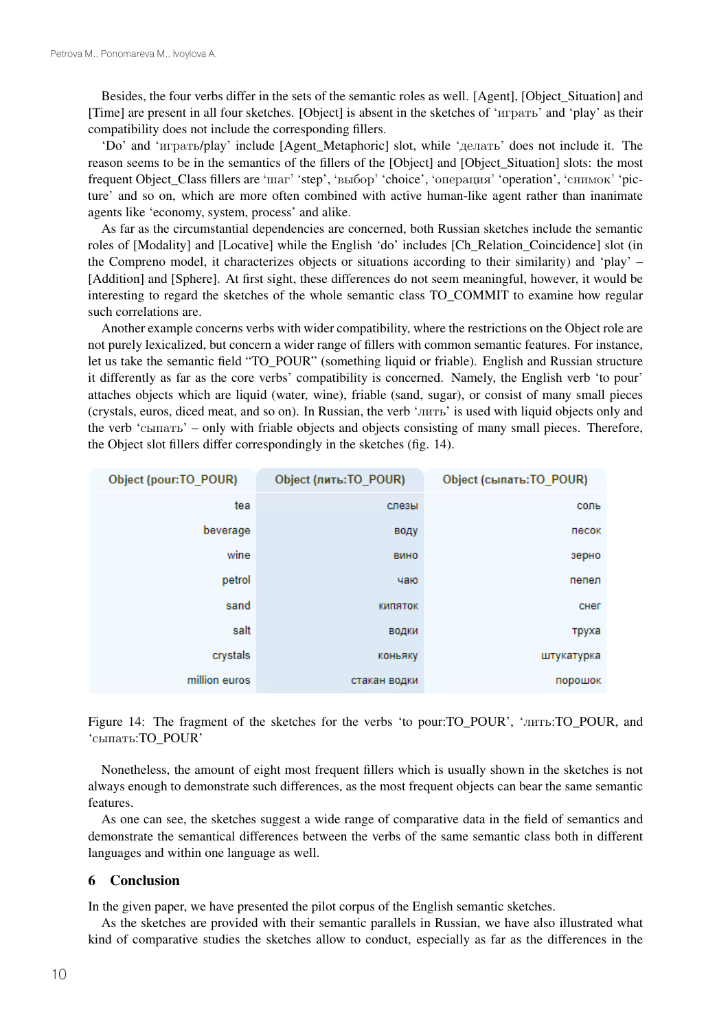Besides, the four verbs differ in the sets of the semantic roles as well. [Agent], [Object\_Situation] and [Time] are present in all four sketches. [Object] is absent in the sketches of 'играть' and 'play' as their compatibility does not include the corresponding fillers.

'Do' and 'играть/play' include [Agent\_Metaphoric] slot, while 'делать' does not include it. The reason seems to be in the semantics of the fillers of the [Object] and [Object\_Situation] slots: the most frequent Object\_Class fillers are 'шаг' 'step', 'выбор' 'choice', 'операция' 'operation', 'снимок' 'picture' and so on, which are more often combined with active human-like agent rather than inanimate agents like 'economy, system, process' and alike.

As far as the circumstantial dependencies are concerned, both Russian sketches include the semantic roles of [Modality] and [Locative] while the English 'do' includes [Ch\_Relation\_Coincidence] slot (in the Compreno model, it characterizes objects or situations according to their similarity) and 'play' – [Addition] and [Sphere]. At first sight, these differences do not seem meaningful, however, it would be interesting to regard the sketches of the whole semantic class TO\_COMMIT to examine how regular such correlations are.

Another example concerns verbs with wider compatibility, where the restrictions on the Object role are not purely lexicalized, but concern a wider range of fillers with common semantic features. For instance, let us take the semantic field "TO\_POUR" (something liquid or friable). English and Russian structure it differently as far as the core verbs' compatibility is concerned. Namely, the English verb 'to pour' attaches objects which are liquid (water, wine), friable (sand, sugar), or consist of many small pieces (crystals, euros, diced meat, and so on). In Russian, the verb 'лить' is used with liquid objects only and the verb 'сыпать' – only with friable objects and objects consisting of many small pieces. Therefore, the Object slot fillers differ correspondingly in the sketches (fig. 14).

| Object (pour: TO_POUR) | Object (лить:TO_POUR) | Object (сыпать: TO_POUR) |
|------------------------|-----------------------|--------------------------|
| tea                    | слезы                 | соль                     |
| beverage               | воду                  | песок                    |
| wine                   | вино                  | зерно                    |
| petrol                 | чаю                   | пепел                    |
| sand                   | <b>КИПЯТОК</b>        | снег                     |
| salt                   | водки                 | труха                    |
| crystals               | коньяку               | штукатурка               |
| million euros          | стакан водки          | порошок                  |

Figure 14: The fragment of the sketches for the verbs 'to pour:TO\_POUR', 'лить:TO\_POUR, and 'сыпать:TO\_POUR'

Nonetheless, the amount of eight most frequent fillers which is usually shown in the sketches is not always enough to demonstrate such differences, as the most frequent objects can bear the same semantic features.

As one can see, the sketches suggest a wide range of comparative data in the field of semantics and demonstrate the semantical differences between the verbs of the same semantic class both in different languages and within one language as well.

#### 6 Conclusion

In the given paper, we have presented the pilot corpus of the English semantic sketches.

As the sketches are provided with their semantic parallels in Russian, we have also illustrated what kind of comparative studies the sketches allow to conduct, especially as far as the differences in the